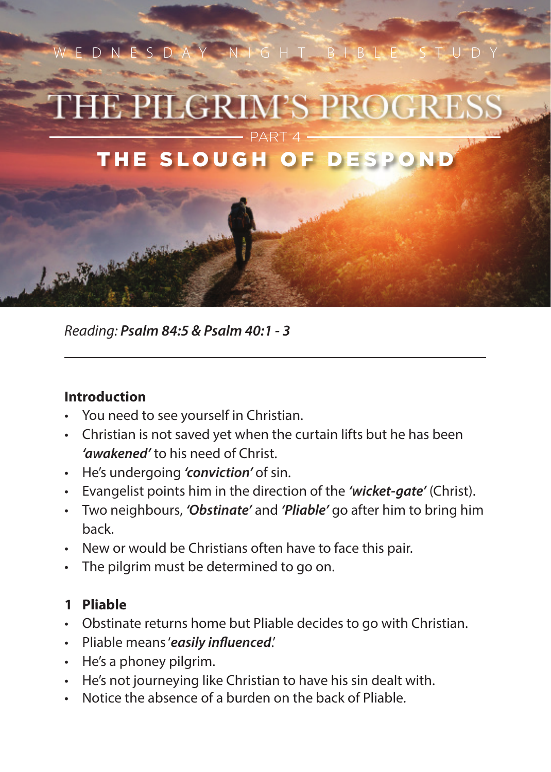

*Reading: Psalm 84:5 & Psalm 40:1 - 3*

## **Introduction**

- You need to see yourself in Christian.
- Christian is not saved yet when the curtain lifts but he has been *'awakened'* to his need of Christ.
- He's undergoing *'conviction'* of sin.
- Evangelist points him in the direction of the *'wicket-gate'* (Christ).
- Two neighbours, *'Obstinate'* and *'Pliable'* go after him to bring him back.
- New or would be Christians often have to face this pair.
- The pilgrim must be determined to go on.

## **1 Pliable**

- Obstinate returns home but Pliable decides to go with Christian.
- Pliable means '*easily influenced*.'
- He's a phoney pilgrim.
- He's not journeying like Christian to have his sin dealt with.
- Notice the absence of a burden on the back of Pliable.